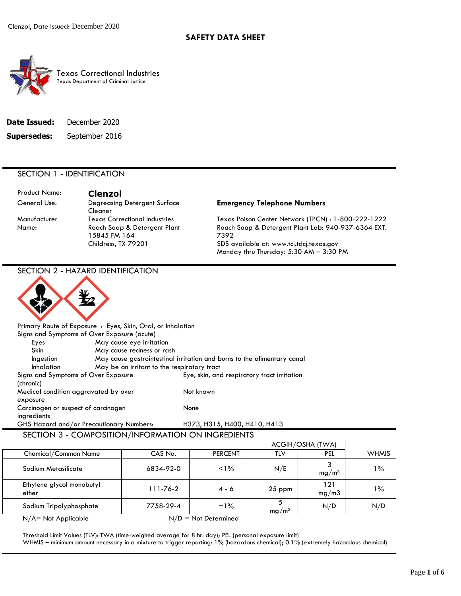

 Texas Department of Criminal Justice Texas Correctional Industries

| Date Issued: | December 2020  |
|--------------|----------------|
| Supersedes:  | September 2016 |

# SECTION 1 - IDENTIFICATION

| <b>Product Name:</b> | <b>Clenzol</b>                               |                                                             |
|----------------------|----------------------------------------------|-------------------------------------------------------------|
| General Use:         | Degreasing Detergent Surface<br>Cleaner      | <b>Emergency Telephone Numbers</b>                          |
| Manufacturer         | <b>Texas Correctional Industries</b>         | Texas Poison Center Network (TPCN) : 1-800-222-1222         |
| Name:                | Roach Soap & Detergent Plant<br>15845 FM 164 | Roach Soap & Detergent Plant Lab: 940-937-6364 EXT.<br>7392 |
|                      | Childress, TX 79201                          | SDS available at: www.tci.tdcj.texas.gov                    |
|                      |                                              | Monday thru Thursday: 5:30 AM - 3:30 PM                     |

 SECTION 3 - COMPOSITION/INFORMATION ON INGREDIENTS SECTION 2 - HAZARD IDENTIFICATION Primary Route of Exposure : Eyes, Skin, Oral, or Inhalation Signs and Symptoms of Over Exposure (acute) Eyes May cause eye irritation Skin May cause redness or rash Ingestion May cause gastrointestinal irritation and burns to the alimentary canal Inhalation May be an irritant to the respiratory tract Signs and Symptoms of Over Exposure Eye, skin, and respiratory tract irritation (chronic) Medical condition aggravated by over Not known exposure Carcinogen or suspect of carcinogen None ingredients GHS Hazard and/or Precautionary Numbers: H373, H315, H400, H410, H413

|                                    |                |                        |                   | ACGIH/OSHA (TWA)  |              |
|------------------------------------|----------------|------------------------|-------------------|-------------------|--------------|
| Chemical/Common Name               | CAS No.        | <b>PERCENT</b>         | TLV               | PEL               | <b>WHMIS</b> |
| Sodium Metasilicate                | 6834-92-0      | $< 1\%$                | N/E               | mg/m <sup>3</sup> | $1\%$        |
| Ethylene glycol monobutyl<br>ether | $111 - 76 - 2$ | $4 - 6$                | $25$ ppm          | 121<br>mg/m3      | $1\%$        |
| Sodium Tripolyphosphate            | 7758-29-4      | $~1\%$                 | mg/m <sup>3</sup> | N/D               | N/D          |
| $N/A = Not Applicable$             |                | $N/D = Not$ Determined |                   |                   |              |

 Threshold Limit Values (TLV): TWA (time-weighed average for 8 hr. day); PEL (personal exposure limit) WHMIS – minimum amount necessary in a mixture to trigger reporting: 1% (hazardous chemical); 0.1% (extremely hazardous chemical)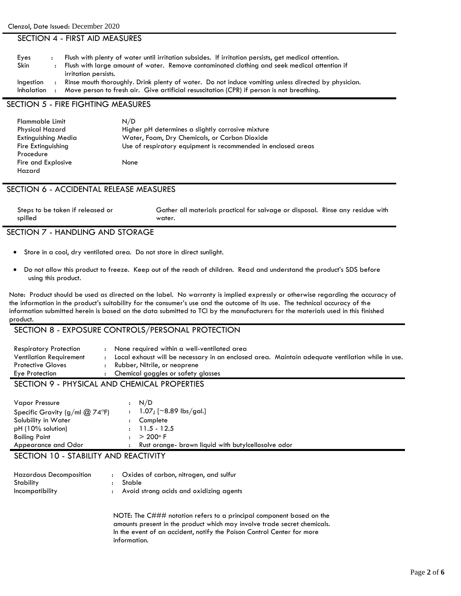#### SECTION 4 - FIRST AID MEASURES

| Eyes        | Flush with plenty of water until irritation subsides. If irritation persists, get medical attention. |
|-------------|------------------------------------------------------------------------------------------------------|
| <b>Skin</b> | Flush with large amount of water. Remove contaminated clothing and seek medical attention if         |
|             | irritation persists.                                                                                 |
| Ingestion   | Rinse mouth thoroughly. Drink plenty of water. Do not induce vomiting unless directed by physician.  |
| Inhalation  | Move person to fresh air. Give artificial resuscitation (CPR) if person is not breathing.            |

# SECTION 5 - FIRE FIGHTING MEASURES

| <b>Flammable Limit</b> | N/D                                                           |
|------------------------|---------------------------------------------------------------|
| Physical Hazard        | Higher pH determines a slightly corrosive mixture             |
| Extinguishing Media    | Water, Foam, Dry Chemicals, or Carbon Dioxide                 |
| Fire Extinguishing     | Use of respiratory equipment is recommended in enclosed areas |
| Procedure              |                                                               |
| Fire and Explosive     | None                                                          |
| Hazard                 |                                                               |

#### SECTION 6 - ACCIDENTAL RELEASE MEASURES

| Steps to be taken if released or | Gather all materials practical for salvage or disposal. Rinse any residue with |  |
|----------------------------------|--------------------------------------------------------------------------------|--|
| spilled                          | water.                                                                         |  |

#### SECTION 7 - HANDLING AND STORAGE

- Store in a cool, dry ventilated area. Do not store in direct sunlight.
- Do not allow this product to freeze. Keep out of the reach of children. Read and understand the product's SDS before using this product.

 Note: Product should be used as directed on the label. No warranty is implied expressly or otherwise regarding the accuracy of the information in the product's suitability for the consumer's use and the outcome of its use. The technical accuracy of the information submitted herein is based on the data submitted to TCI by the manufacturers for the materials used in this finished product.

#### SECTION 8 - EXPOSURE CONTROLS/PERSONAL PROTECTION

| <b>Respiratory Protection</b>  | None required within a well-ventilated area                                                      |  |
|--------------------------------|--------------------------------------------------------------------------------------------------|--|
| <b>Ventilation Requirement</b> | Local exhaust will be necessary in an enclosed area. Maintain adequate ventilation while in use. |  |
| <b>Protective Gloves</b>       | Rubber, Nitrile, or neoprene                                                                     |  |
| Eye Protection                 | : Chemical goggles or safety glasses                                                             |  |
| $C$ $C$ $T$ $C$ $L$ $C$        | <b>NUMBER 41 AND CURING 41 BROBERTIES</b>                                                        |  |

# SECTION 9 - PHYSICAL AND CHEMICAL PROPERTIES

| Vapor Pressure<br>Specific Gravity (g/ml $@$ 74°F)<br>Solubility in Water    | : N/D<br>: $1.07$ ; [~8.89 lbs/gal.]<br>Complete    |
|------------------------------------------------------------------------------|-----------------------------------------------------|
| $pH(10\%$ solution)<br>Boiling Point                                         | $>200^\circ$ F                                      |
| Appearance and Odor                                                          | Rust orange- brown liquid with butylcellosolve odor |
| $C$ $C$ $T$ $C$ $L$ $L$ $I$ $A$<br>$\sim$ $\sim$ $\sim$ $\sim$ $\sim$ $\sim$ | $\mathbf{L}$ In Red $\mathbf{L}$ $\mathbf{L}$       |

# SECTION 10 - STABILITY AND REACTIVITY

| <b>Hazardous Decomposition</b> | : Oxides of carbon, nitrogen, and sulfur  |
|--------------------------------|-------------------------------------------|
| Stability                      | : Stable                                  |
| Incompatibility                | : Avoid strong acids and oxidizing agents |

NOTE: The C### notation refers to a principal component based on the amounts present in the product which may involve trade secret chemicals. In the event of an accident, notify the Poison Control Center for more information.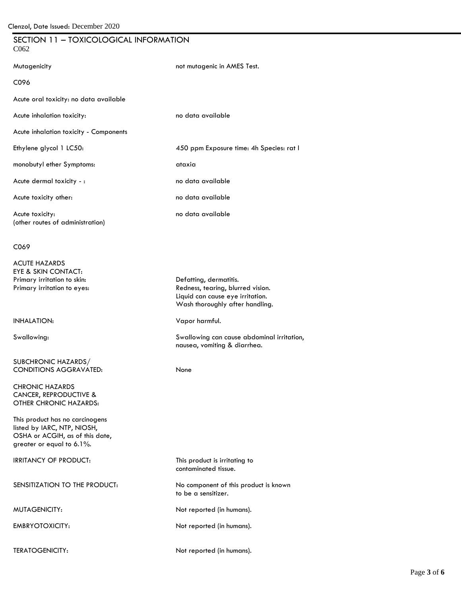### SECTION 11 – TOXICOLOGICAL INFORMATION C062

| Mutagenicity                                        | not mutagenic in AMES Test.              |
|-----------------------------------------------------|------------------------------------------|
| C096                                                |                                          |
| Acute oral toxicity: no data available              |                                          |
| Acute inhalation toxicity:                          | no data available                        |
| <b>Acute inhalation toxicity - Components</b>       |                                          |
| Ethylene glycol 1 LC50:                             | 450 ppm Exposure time: 4h Species: rat I |
| monobutyl ether Symptoms:                           | ataxia                                   |
| Acute dermal toxicity - :                           | no data available                        |
| Acute toxicity other:                               | no data available                        |
| Acute toxicity:<br>(other routes of administration) | no data available                        |

#### C069

ACUTE HAZARDS EYE & SKIN CONTACT: Primary irritation to skin: Defatting, dermatitis.

SUBCHRONIC HAZARDS/ CONDITIONS AGGRAVATED: None

 CANCER, REPRODUCTIVE & CHRONIC HAZARDS OTHER CHRONIC HAZARDS:

This product has no carcinogens listed by IARC, NTP, NIOSH, OSHA or ACGIH, as of this date, greater or equal to 6.1%.

SENSITIZATION TO THE PRODUCT: No component of this product is known

Primary irritation to eyes: Redness, tearing, blurred vision. Liquid can cause eye irritation. Wash thoroughly after handling.

#### INHALATION: Vapor harmful.

Swallowing: Swallowing can cause abdominal irritation, nausea, vomiting & diarrhea.

IRRITANCY OF PRODUCT: This product is irritating to contaminated tissue. to be a sensitizer.

MUTAGENICITY: Not reported (in humans).

EMBRYOTOXICITY: Not reported (in humans).

TERATOGENICITY: Not reported (in humans).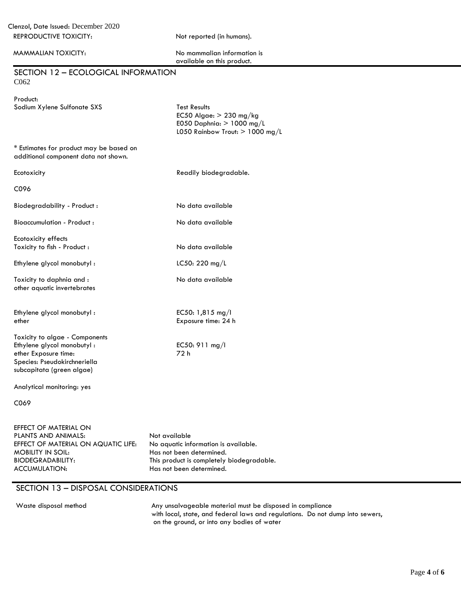MAMMALIAN TOXICITY:

| No mammalian information is |  |
|-----------------------------|--|
| available on this product.  |  |

| SECTION 12 - ECOLOGICAL INFORMATION<br>C062                                                                                                       |                                                                                                                      |
|---------------------------------------------------------------------------------------------------------------------------------------------------|----------------------------------------------------------------------------------------------------------------------|
| Product:<br>Sodium Xylene Sulfonate SXS                                                                                                           | <b>Test Results</b><br>EC50 Algae: $> 230$ mg/kg<br>E050 Daphnia: $> 1000$ mg/L<br>L050 Rainbow Trout: $> 1000$ mg/L |
| * Estimates for product may be based on<br>additional component data not shown.                                                                   |                                                                                                                      |
| Ecotoxicity                                                                                                                                       | Readily biodegradable.                                                                                               |
| C096                                                                                                                                              |                                                                                                                      |
| Biodegradability - Product:                                                                                                                       | No data available                                                                                                    |
| Bioaccumulation - Product:                                                                                                                        | No data available                                                                                                    |
| Ecotoxicity effects<br>Toxicity to fish - Product :                                                                                               | No data available                                                                                                    |
| Ethylene glycol monobutyl:                                                                                                                        | LC50: 220 mg/L                                                                                                       |
| Toxicity to daphnia and:<br>other aquatic invertebrates                                                                                           | No data available                                                                                                    |
| Ethylene glycol monobutyl:<br>ether                                                                                                               | EC50: 1,815 mg/l<br>Exposure time: 24 h                                                                              |
| Toxicity to algae - Components<br>Ethylene glycol monobutyl:<br>ether Exposure time:<br>Species: Pseudokirchneriella<br>subcapitata (green algae) | EC50: 911 mg/l<br>72 h                                                                                               |
| Analytical monitoring: yes                                                                                                                        |                                                                                                                      |

C069

| EFFECT OF MATERIAL ON               |                                           |
|-------------------------------------|-------------------------------------------|
| PLANTS AND ANIMALS:                 | Not available                             |
| EFFECT OF MATERIAL ON AQUATIC LIFE: | No aquatic information is available.      |
| MOBILITY IN SOIL:                   | Has not been determined.                  |
| <b>BIODEGRADABILITY:</b>            | This product is completely biodegradable. |
| ACCUMULATION:                       | Has not been determined.                  |
|                                     |                                           |

# SECTION 13 – DISPOSAL CONSIDERATIONS

Waste disposal method **Any unsalvageable material must be disposed in compliance** with local, state, and federal laws and regulations. Do not dump into sewers, on the ground, or into any bodies of water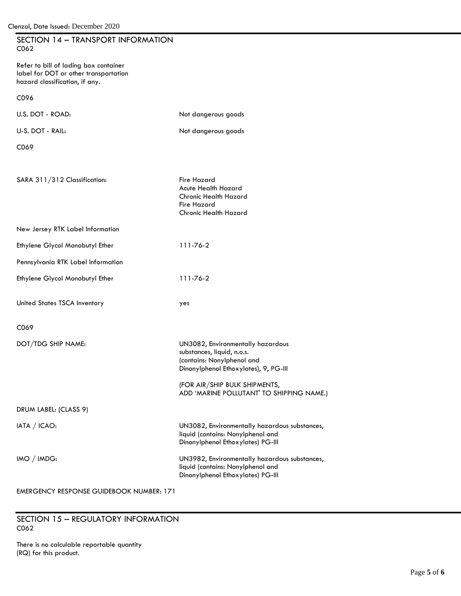| SECTION 14 - TRANSPORT INFORMATION<br>C <sub>062</sub>                                                           |                                                                                                                                        |
|------------------------------------------------------------------------------------------------------------------|----------------------------------------------------------------------------------------------------------------------------------------|
| Refer to bill of lading box container<br>label for DOT or other transportation<br>hazard classification, if any. |                                                                                                                                        |
| C096                                                                                                             |                                                                                                                                        |
| U.S. DOT - ROAD:                                                                                                 | Not dangerous goods                                                                                                                    |
| U-S. DOT - RAIL:                                                                                                 | Not dangerous goods                                                                                                                    |
| C069                                                                                                             |                                                                                                                                        |
| SARA 311/312 Classification:                                                                                     | <b>Fire Hazard</b><br>Acute Health Hazard<br><b>Chronic Health Hazard</b><br><b>Fire Hazard</b><br><b>Chronic Health Hazard</b>        |
| New Jersey RTK Label Information                                                                                 |                                                                                                                                        |
| Ethylene Glycol Monobutyl Ether                                                                                  | 111-76-2                                                                                                                               |
| Pennsylvania RTK Label Information                                                                               |                                                                                                                                        |
| Ethylene Glycol Monobutyl Ether                                                                                  | 111-76-2                                                                                                                               |
| United States TSCA Inventory                                                                                     | yes                                                                                                                                    |
| C069                                                                                                             |                                                                                                                                        |
| DOT/TDG SHIP NAME:                                                                                               | UN3082, Environmentally hazardous<br>substances, liquid, n.o.s.<br>(contains: Nonylphenol and<br>Dinonylphenol Ethoxylates), 9, PG-III |
|                                                                                                                  | (FOR AIR/SHIP BULK SHIPMENTS,<br>ADD 'MARINE POLLUTANT' TO SHIPPING NAME.)                                                             |
| DRUM LABEL: (CLASS 9)                                                                                            |                                                                                                                                        |
| IATA / ICAO:                                                                                                     | UN3082, Environmentally hazardous substances,<br>liquid (contains: Nonylphenol and<br>Dinonylphenol Ethoxylates) PG-III                |
| IMO / IMDG                                                                                                       | UN3982, Environmentally hazardous substances,<br>liquid (contains: Nonylphenol and<br>Dinonylphenol Ethoxylates) PG-III                |

EMERGENCY RESPONSE GUIDEBOOK NUMBER: 171

 SECTION 15 – REGULATORY INFORMATION C062

There is no calculable reportable quantity (RQ) for this product.